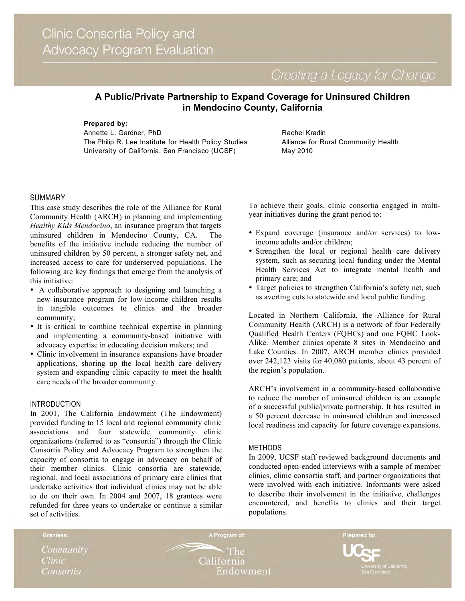Creating a Legacy for Change

# **A Public/Private Partnership to Expand Coverage for Uninsured Children in Mendocino County, California**

**Prepared by:**

Annette L. Gardner, PhD The Philip R. Lee Institute for Health Policy Studies University of California, San Francisco (UCSF)

Rachel Kradin Alliance for Rural Community Health May 2010

# SUMMARY

This case study describes the role of the Alliance for Rural Community Health (ARCH) in planning and implementing *Healthy Kids Mendocino*, an insurance program that targets uninsured children in Mendocino County, CA. The benefits of the initiative include reducing the number of uninsured children by 50 percent, a stronger safety net, and increased access to care for underserved populations. The following are key findings that emerge from the analysis of this initiative:

- A collaborative approach to designing and launching a new insurance program for low-income children results in tangible outcomes to clinics and the broader community;
- It is critical to combine technical expertise in planning and implementing a community-based initiative with advocacy expertise in educating decision makers; and
- Clinic involvement in insurance expansions have broader applications, shoring up the local health care delivery system and expanding clinic capacity to meet the health care needs of the broader community.

### INTRODUCTION

In 2001, The California Endowment (The Endowment) provided funding to 15 local and regional community clinic associations and four statewide community clinic organizations (referred to as "consortia") through the Clinic Consortia Policy and Advocacy Program to strengthen the capacity of consortia to engage in advocacy on behalf of their member clinics. Clinic consortia are statewide, regional, and local associations of primary care clinics that undertake activities that individual clinics may not be able to do on their own. In 2004 and 2007, 18 grantees were refunded for three years to undertake or continue a similar set of activities.

To achieve their goals, clinic consortia engaged in multiyear initiatives during the grant period to:

- Expand coverage (insurance and/or services) to lowincome adults and/or children;
- Strengthen the local or regional health care delivery system, such as securing local funding under the Mental Health Services Act to integrate mental health and primary care; and
- Target policies to strengthen California's safety net, such as averting cuts to statewide and local public funding.

Located in Northern California, the Alliance for Rural Community Health (ARCH) is a network of four Federally Qualified Health Centers (FQHCs) and one FQHC Look-Alike. Member clinics operate 8 sites in Mendocino and Lake Counties. In 2007, ARCH member clinics provided over 242,123 visits for 40,080 patients, about 43 percent of the region's population.

ARCH's involvement in a community-based collaborative to reduce the number of uninsured children is an example of a successful public/private partnership. It has resulted in a 50 percent decrease in uninsured children and increased local readiness and capacity for future coverage expansions.

### METHODS

In 2009, UCSF staff reviewed background documents and conducted open-ended interviews with a sample of member clinics, clinic consortia staff, and partner organizations that were involved with each initiative. Informants were asked to describe their involvement in the initiative, challenges encountered, and benefits to clinics and their target populations.

Community **Clinic** Consortia

Grantees:

**The** California Endowment

A Program of:

Prepared by: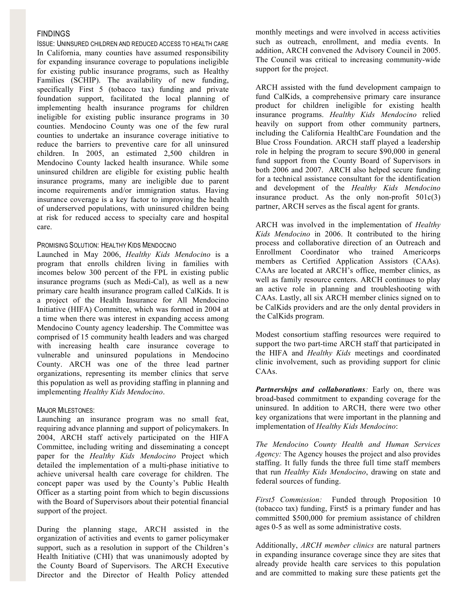# FINDINGS

ISSUE: UNINSURED CHILDREN AND REDUCED ACCESS TO HEALTH CARE In California, many counties have assumed responsibility for expanding insurance coverage to populations ineligible for existing public insurance programs, such as Healthy Families (SCHIP). The availability of new funding, specifically First 5 (tobacco tax) funding and private foundation support, facilitated the local planning of implementing health insurance programs for children ineligible for existing public insurance programs in 30 counties. Mendocino County was one of the few rural counties to undertake an insurance coverage initiative to reduce the barriers to preventive care for all uninsured children. In 2005, an estimated 2,500 children in Mendocino County lacked health insurance. While some uninsured children are eligible for existing public health insurance programs, many are ineligible due to parent income requirements and/or immigration status. Having insurance coverage is a key factor to improving the health of underserved populations, with uninsured children being at risk for reduced access to specialty care and hospital care.

### PROMISING SOLUTION: HEALTHY KIDS MENDOCINO

Launched in May 2006, *Healthy Kids Mendocino* is a program that enrolls children living in families with incomes below 300 percent of the FPL in existing public insurance programs (such as Medi-Cal), as well as a new primary care health insurance program called CalKids. It is a project of the Health Insurance for All Mendocino Initiative (HIFA) Committee, which was formed in 2004 at a time when there was interest in expanding access among Mendocino County agency leadership. The Committee was comprised of 15 community health leaders and was charged with increasing health care insurance coverage to vulnerable and uninsured populations in Mendocino County. ARCH was one of the three lead partner organizations, representing its member clinics that serve this population as well as providing staffing in planning and implementing *Healthy Kids Mendocino*.

### MAJOR MILESTONES:

Launching an insurance program was no small feat, requiring advance planning and support of policymakers. In 2004, ARCH staff actively participated on the HIFA Committee, including writing and disseminating a concept paper for the *Healthy Kids Mendocino* Project which detailed the implementation of a multi-phase initiative to achieve universal health care coverage for children. The concept paper was used by the County's Public Health Officer as a starting point from which to begin discussions with the Board of Supervisors about their potential financial support of the project.

During the planning stage, ARCH assisted in the organization of activities and events to garner policymaker support, such as a resolution in support of the Children's Health Initiative (CHI) that was unanimously adopted by the County Board of Supervisors. The ARCH Executive Director and the Director of Health Policy attended monthly meetings and were involved in access activities such as outreach, enrollment, and media events. In addition, ARCH convened the Advisory Council in 2005. The Council was critical to increasing community-wide support for the project.

ARCH assisted with the fund development campaign to fund CalKids, a comprehensive primary care insurance product for children ineligible for existing health insurance programs. *Healthy Kids Mendocino* relied heavily on support from other community partners, including the California HealthCare Foundation and the Blue Cross Foundation. ARCH staff played a leadership role in helping the program to secure \$90,000 in general fund support from the County Board of Supervisors in both 2006 and 2007. ARCH also helped secure funding for a technical assistance consultant for the identification and development of the *Healthy Kids Mendocino* insurance product. As the only non-profit  $501c(3)$ partner, ARCH serves as the fiscal agent for grants.

ARCH was involved in the implementation of *Healthy Kids Mendocino* in 2006. It contributed to the hiring process and collaborative direction of an Outreach and Enrollment Coordinator who trained Americorps members as Certified Application Assistors (CAAs). CAAs are located at ARCH's office, member clinics, as well as family resource centers. ARCH continues to play an active role in planning and troubleshooting with CAAs. Lastly, all six ARCH member clinics signed on to be CalKids providers and are the only dental providers in the CalKids program.

Modest consortium staffing resources were required to support the two part-time ARCH staff that participated in the HIFA and *Healthy Kids* meetings and coordinated clinic involvement, such as providing support for clinic CAAs.

*Partnerships and collaborations:* Early on, there was broad-based commitment to expanding coverage for the uninsured. In addition to ARCH, there were two other key organizations that were important in the planning and implementation of *Healthy Kids Mendocino*:

*The Mendocino County Health and Human Services Agency:* The Agency houses the project and also provides staffing. It fully funds the three full time staff members that run *Healthy Kids Mendocino*, drawing on state and federal sources of funding.

*First5 Commission:* Funded through Proposition 10 (tobacco tax) funding, First5 is a primary funder and has committed \$500,000 for premium assistance of children ages 0-5 as well as some administrative costs.

Additionally, *ARCH member clinics* are natural partners in expanding insurance coverage since they are sites that already provide health care services to this population and are committed to making sure these patients get the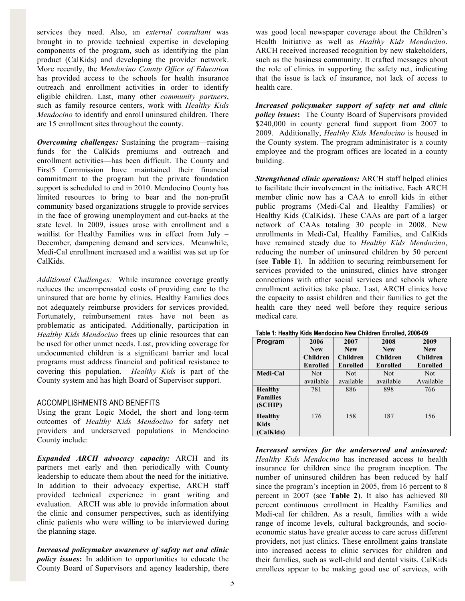services they need. Also, an *external consultant* was brought in to provide technical expertise in developing components of the program, such as identifying the plan product (CalKids) and developing the provider network. More recently, the *Mendocino County Office of Education* has provided access to the schools for health insurance outreach and enrollment activities in order to identify eligible children. Last, many other *community partners*, such as family resource centers, work with *Healthy Kids Mendocino* to identify and enroll uninsured children. There are 15 enrollment sites throughout the county.

*Overcoming challenges:* Sustaining the program—raising funds for the CalKids premiums and outreach and enrollment activities—has been difficult. The County and First5 Commission have maintained their financial commitment to the program but the private foundation support is scheduled to end in 2010. Mendocino County has limited resources to bring to bear and the non-profit community based organizations struggle to provide services in the face of growing unemployment and cut-backs at the state level. In 2009, issues arose with enrollment and a waitlist for Healthy Families was in effect from July – December, dampening demand and services. Meanwhile, Medi-Cal enrollment increased and a waitlist was set up for CalKids.

*Additional Challenges:* While insurance coverage greatly reduces the uncompensated costs of providing care to the uninsured that are borne by clinics, Healthy Families does not adequately reimburse providers for services provided. Fortunately, reimbursement rates have not been as problematic as anticipated. Additionally, participation in *Healthy Kids Mendocino* frees up clinic resources that can be used for other unmet needs. Last, providing coverage for undocumented children is a significant barrier and local programs must address financial and political resistance to covering this population. *Healthy Kids* is part of the County system and has high Board of Supervisor support.

# ACCOMPLISHMENTS AND BENEFITS

Using the grant Logic Model, the short and long-term outcomes of *Healthy Kids Mendocino* for safety net providers and underserved populations in Mendocino County include:

*Expanded ARCH advocacy capacity:* ARCH and its partners met early and then periodically with County leadership to educate them about the need for the initiative. In addition to their advocacy expertise, ARCH staff provided technical experience in grant writing and evaluation. ARCH was able to provide information about the clinic and consumer perspectives, such as identifying clinic patients who were willing to be interviewed during the planning stage.

*Increased policymaker awareness of safety net and clinic policy issues***:** In addition to opportunities to educate the County Board of Supervisors and agency leadership, there was good local newspaper coverage about the Children's Health Initiative as well as *Healthy Kids Mendocino*. ARCH received increased recognition by new stakeholders, such as the business community. It crafted messages about the role of clinics in supporting the safety net, indicating that the issue is lack of insurance, not lack of access to health care.

*Increased policymaker support of safety net and clinic policy issues***:** The County Board of Supervisors provided \$240,000 in county general fund support from 2007 to 2009. Additionally, *Healthy Kids Mendocino* is housed in the County system. The program administrator is a county employee and the program offices are located in a county building.

*Strengthened clinic operations:* ARCH staff helped clinics to facilitate their involvement in the initiative. Each ARCH member clinic now has a CAA to enroll kids in either public programs (Medi-Cal and Healthy Families) or Healthy Kids (CalKids). These CAAs are part of a larger network of CAAs totaling 30 people in 2008. New enrollments in Medi-Cal, Healthy Families, and CalKids have remained steady due to *Healthy Kids Mendocino*, reducing the number of uninsured children by 50 percent (see **Table 1**). In addition to securing reimbursement for services provided to the uninsured, clinics have stronger connections with other social services and schools where enrollment activities take place. Last, ARCH clinics have the capacity to assist children and their families to get the health care they need well before they require serious medical care.

| Program                                      | 2006            | 2007       | 2008            | 2009       |
|----------------------------------------------|-----------------|------------|-----------------|------------|
|                                              | <b>New</b>      | <b>New</b> | <b>New</b>      | <b>New</b> |
|                                              | Children        | Children   | <b>Children</b> | Children   |
|                                              | <b>Enrolled</b> | Enrolled   | Enrolled        | Enrolled   |
| Medi-Cal                                     | <b>Not</b>      | <b>Not</b> | <b>Not</b>      | <b>Not</b> |
|                                              | available       | available  | available       | Available  |
| <b>Healthy</b><br><b>Families</b><br>(SCHIP) | 781             | 886        | 898             | 766        |
| <b>Healthy</b><br>Kids<br>(CalKids)          | 176             | 158        | 187             | 156        |

**Table 1: Healthy Kids Mendocino New Children Enrolled, 2006-09** 

*Increased services for the underserved and uninsured: Healthy Kids Mendocino* has increased access to health insurance for children since the program inception. The number of uninsured children has been reduced by half since the program's inception in 2005, from 16 percent to 8 percent in 2007 (see **Table 2**). It also has achieved 80 percent continuous enrollment in Healthy Families and Medi-cal for children. As a result, families with a wide range of income levels, cultural backgrounds, and socioeconomic status have greater access to care across different providers, not just clinics. These enrollment gains translate into increased access to clinic services for children and their families, such as well-child and dental visits. CalKids enrollees appear to be making good use of services, with